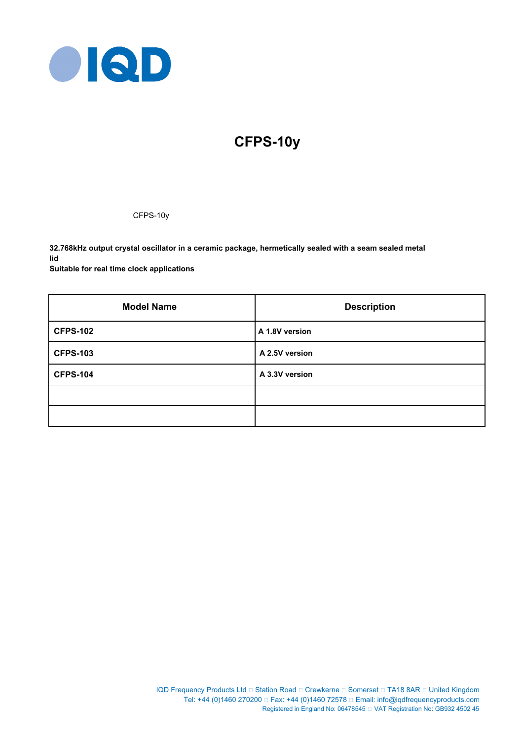

# **CFPS-10y**

CFPS-10y

**32.768kHz output crystal oscillator in a ceramic package, hermetically sealed with a seam sealed metal lid Suitable for real time clock applications**

| <b>Model Name</b> | <b>Description</b> |
|-------------------|--------------------|
| <b>CFPS-102</b>   | A 1.8V version     |
| <b>CFPS-103</b>   | A 2.5V version     |
| <b>CFPS-104</b>   | A 3.3V version     |
|                   |                    |
|                   |                    |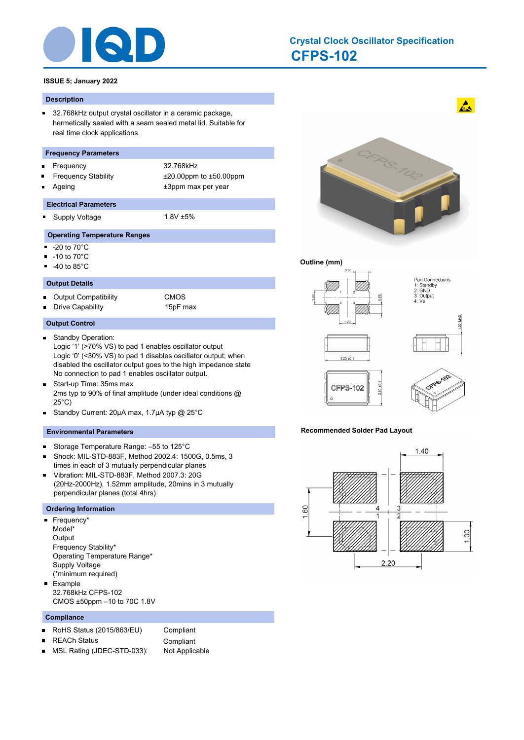

### **CFPS-102 Crystal Clock Oscillator Specification**

#### **ISSUE 5; January 2022**

#### **Description**

 $\blacksquare$ 32.768kHz output crystal oscillator in a ceramic package, hermetically sealed with a seam sealed metal lid. Suitable for real time clock applications.

#### **Frequency Parameters**

- Frequency 32.768kHz
- Frequency Stability ±20.00ppm to ±50.00ppm
	- Ageing  $\qquad \qquad \qquad \text{+3ppm}$  max per year

#### **Electrical Parameters**

Supply Voltage 1.8V ±5%

#### **Operating Temperature Ranges**

-20 to 70°C Ξ

 $\blacksquare$ 

- -10 to 70°C  $\blacksquare$
- -40 to 85°C

#### **Output Details**

Output Compatibility CMOS  $\blacksquare$ Drive Capability 15pF max

#### **Output Control**

- Standby Operation:  $\blacksquare$ Logic '1' (>70% VS) to pad 1 enables oscillator output Logic '0' (<30% VS) to pad 1 disables oscillator output; when disabled the oscillator output goes to the high impedance state No connection to pad 1 enables oscillator output.
- $\blacksquare$ Start-up Time: 35ms max 2ms typ to 90% of final amplitude (under ideal conditions @ 25°C)
- Standby Current: 20µA max, 1.7µA typ @ 25°C  $\blacksquare$

#### **Environmental Parameters**

- Storage Temperature Range: –55 to 125°C  $\blacksquare$
- Shock: MIL-STD-883F, Method 2002.4: 1500G, 0.5ms, 3  $\blacksquare$ times in each of 3 mutually perpendicular planes
- Vibration: MIL-STD-883F, Method 2007.3: 20G  $\blacksquare$ (20Hz-2000Hz), 1.52mm amplitude, 20mins in 3 mutually perpendicular planes (total 4hrs)

#### **Ordering Information**

- Frequency\* Model\* **Output** Frequency Stability\* Operating Temperature Range\* Supply Voltage (\*minimum required) Example
- 32.768kHz CFPS-102 CMOS ±50ppm –10 to 70C 1.8V

#### **Compliance**

- RoHS Status (2015/863/EU) Compliant  $\blacksquare$
- 
- REACh Status **Compliant**
- MSL Rating (JDEC-STD-033): Not Applicable $\blacksquare$



 $\mathbf{A}$ 

#### **Outline (mm)**



#### **Recommended Solder Pad Layout**

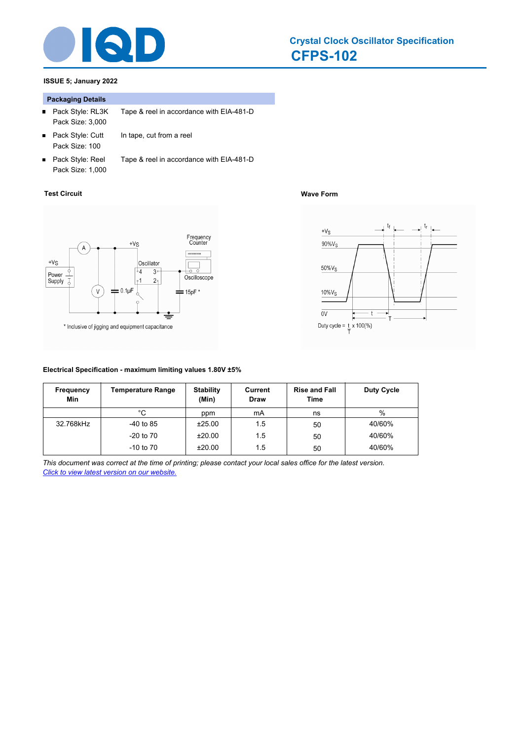

#### **CFPS-102 Crystal Clock Oscillator Specification**

### **ISSUE 5; January 2022**

#### **Packaging Details**

- Pack Style: RL3K Tape & reel in accordance with EIA-481-D  $\blacksquare$ Pack Size: 3,000
- $\blacksquare$ Pack Style: Cutt In tape, cut from a reel Pack Size: 100
- Pack Style: Reel Tape & reel in accordance with EIA-481-D Pack Size: 1,000

#### **Test Circuit Wave Form**



#### **Electrical Specification - maximum limiting values 1.80V ±5%**

| Frequency<br>Min | <b>Temperature Range</b> | <b>Stability</b><br>(Min) | Current<br>Draw | <b>Rise and Fall</b><br>Time | Duty Cycle |
|------------------|--------------------------|---------------------------|-----------------|------------------------------|------------|
|                  | °C                       | ppm                       | mA              | ns                           | $\%$       |
| 32.768kHz        | $-40$ to 85              | ±25.00                    | 1.5             | 50                           | 40/60%     |
|                  | $-20$ to $70$            | ±20.00                    | 1.5             | 50                           | 40/60%     |
|                  | $-10$ to $70$            | ±20.00                    | 1.5             | 50                           | 40/60%     |

*This document was correct at the time of printing; please contact your local sales office for the latest version. Click to view latest version on our website.*



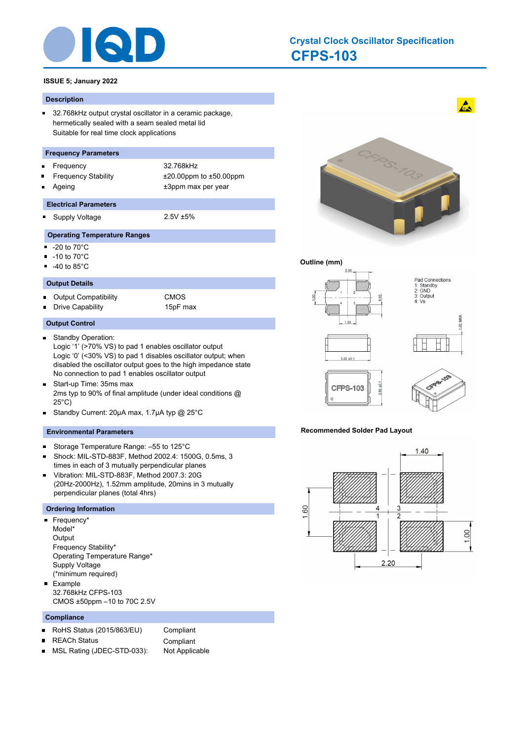

### **CFPS-103 Crystal Clock Oscillator Specification**

#### **ISSUE 5; January 2022**

#### **Description**

 $\blacksquare$ 32.768kHz output crystal oscillator in a ceramic package, hermetically sealed with a seam sealed metal lid Suitable for real time clock applications

#### **Frequency Parameters**

- Frequency 32.768kHz
- 
- Frequency Stability ±20.00ppm to ±50.00ppm Ageing  $\qquad \qquad \qquad \text{+3ppm}$  max per year
- **Electrical Parameters**
- 
- $\blacksquare$

## Supply Voltage 2.5V ±5%

#### **Operating Temperature Ranges**

- -20 to 70°C Ξ
- -10 to 70°C  $\blacksquare$
- -40 to 85°C

#### **Output Details**

Output Compatibility CMOS  $\blacksquare$ Drive Capability 15pF max

#### **Output Control**

- Standby Operation:  $\blacksquare$ Logic '1' (>70% VS) to pad 1 enables oscillator output Logic '0' (<30% VS) to pad 1 disables oscillator output; when disabled the oscillator output goes to the high impedance state No connection to pad 1 enables oscillator output
- $\blacksquare$ Start-up Time: 35ms max 2ms typ to 90% of final amplitude (under ideal conditions @ 25°C)
- Standby Current: 20µA max, 1.7µA typ @ 25°C  $\blacksquare$

#### **Environmental Parameters**

- Storage Temperature Range: –55 to 125°C  $\blacksquare$
- Shock: MIL-STD-883F, Method 2002.4: 1500G, 0.5ms, 3  $\blacksquare$ times in each of 3 mutually perpendicular planes
- Vibration: MIL-STD-883F, Method 2007.3: 20G  $\blacksquare$ (20Hz-2000Hz), 1.52mm amplitude, 20mins in 3 mutually perpendicular planes (total 4hrs)

#### **Ordering Information**

- Frequency\* Model\* **Output** Frequency Stability\* Operating Temperature Range\* Supply Voltage (\*minimum required) Example
- 32.768kHz CFPS-103 CMOS ±50ppm –10 to 70C 2.5V

#### **Compliance**

- RoHS Status (2015/863/EU) Compliant  $\blacksquare$
- 
- REACh Status **Compliant**
- MSL Rating (JDEC-STD-033): Not Applicable $\blacksquare$



 $\mathbf{A}$ 

#### **Outline (mm)**



#### **Recommended Solder Pad Layout**

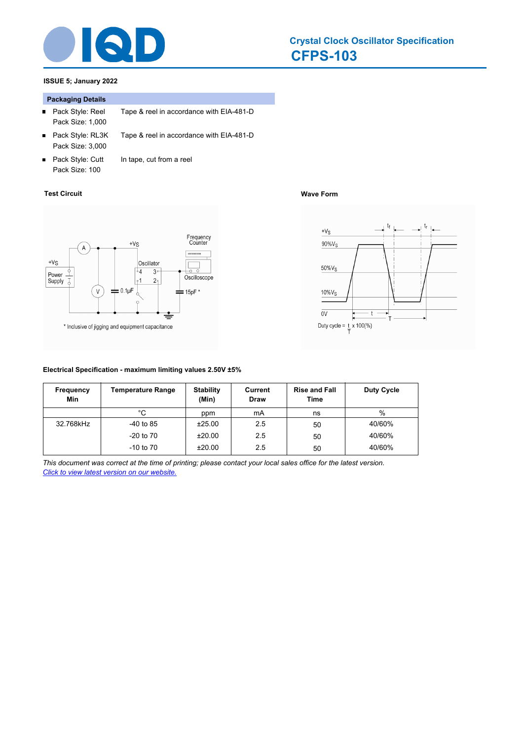

#### **CFPS-103 Crystal Clock Oscillator Specification**

### **ISSUE 5; January 2022**

#### **Packaging Details**

- Pack Style: Reel Tape & reel in accordance with EIA-481-D  $\blacksquare$ Pack Size: 1,000
- Pack Style: RL3K Tape & reel in accordance with EIA-481-D  $\blacksquare$ Pack Size: 3,000
- Pack Style: Cutt In tape, cut from a reel Pack Size: 100

#### **Test Circuit Wave Form**



## **Electrical Specification - maximum limiting values 2.50V ±5%**



| <b>Frequency</b><br>Min | <b>Temperature Range</b> | <b>Stability</b><br>(Min) | Current<br><b>Draw</b> | <b>Rise and Fall</b><br>Time | <b>Duty Cycle</b> |
|-------------------------|--------------------------|---------------------------|------------------------|------------------------------|-------------------|
|                         | °C                       | ppm                       | mA                     | ns                           | %                 |
| 32.768kHz               | $-40$ to 85              | ±25.00                    | 2.5                    | 50                           | 40/60%            |
|                         | $-20$ to $70$            | ±20.00                    | 2.5                    | 50                           | 40/60%            |
|                         | $-10$ to $70$            | ±20.00                    | 2.5                    | 50                           | 40/60%            |

*This document was correct at the time of printing; please contact your local sales office for the latest version. Click to view latest version on our website.*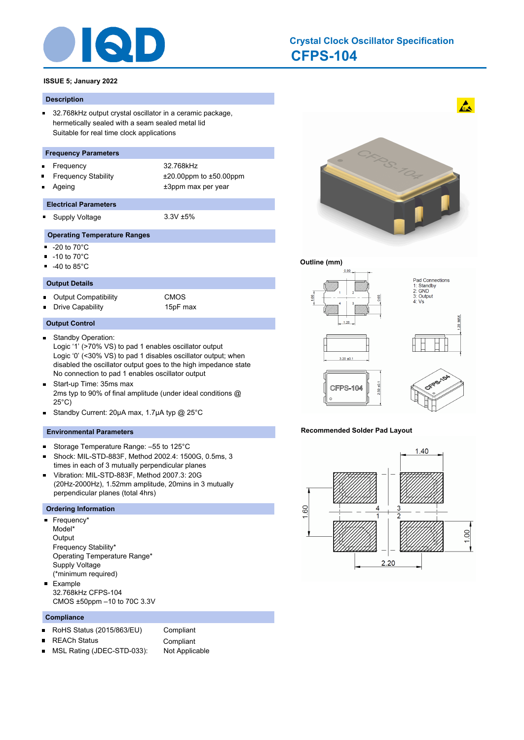

### **CFPS-104 Crystal Clock Oscillator Specification**

#### **ISSUE 5; January 2022**

#### **Description**

 $\blacksquare$ 32.768kHz output crystal oscillator in a ceramic package, hermetically sealed with a seam sealed metal lid Suitable for real time clock applications

#### **Frequency Parameters**

- Frequency 32.768kHz
- 
- Frequency Stability ±20.00ppm to ±50.00ppm Ageing  $\qquad \qquad \qquad \text{+3ppm}$  max per year
- **Electrical Parameters**
- 

#### $\blacksquare$ Supply Voltage 3.3V ±5%

- **Operating Temperature Ranges**
- -20 to 70°C Ξ
- -10 to 70°C  $\blacksquare$
- -40 to 85°C

#### **Output Details**

Output Compatibility CMOS  $\blacksquare$ Drive Capability 15pF max

#### **Output Control**

- Standby Operation:  $\blacksquare$ Logic '1' (>70% VS) to pad 1 enables oscillator output Logic '0' (<30% VS) to pad 1 disables oscillator output; when disabled the oscillator output goes to the high impedance state No connection to pad 1 enables oscillator output
- $\blacksquare$ Start-up Time: 35ms max 2ms typ to 90% of final amplitude (under ideal conditions @ 25°C)
- Standby Current: 20µA max, 1.7µA typ @ 25°C  $\blacksquare$

#### **Environmental Parameters**

- Storage Temperature Range: –55 to 125°C  $\blacksquare$
- Shock: MIL-STD-883F, Method 2002.4: 1500G, 0.5ms, 3  $\blacksquare$ times in each of 3 mutually perpendicular planes
- Vibration: MIL-STD-883F, Method 2007.3: 20G  $\blacksquare$ (20Hz-2000Hz), 1.52mm amplitude, 20mins in 3 mutually perpendicular planes (total 4hrs)

#### **Ordering Information**

- Frequency\* Model\* **Output** Frequency Stability\* Operating Temperature Range\* Supply Voltage (\*minimum required) Example
- 32.768kHz CFPS-104 CMOS ±50ppm –10 to 70C 3.3V

#### **Compliance**

- RoHS Status (2015/863/EU) Compliant  $\blacksquare$
- 
- REACh Status **Compliant**
- MSL Rating (JDEC-STD-033): Not Applicable $\blacksquare$



 $\mathbf{A}$ 

#### **Outline (mm)**



#### **Recommended Solder Pad Layout**